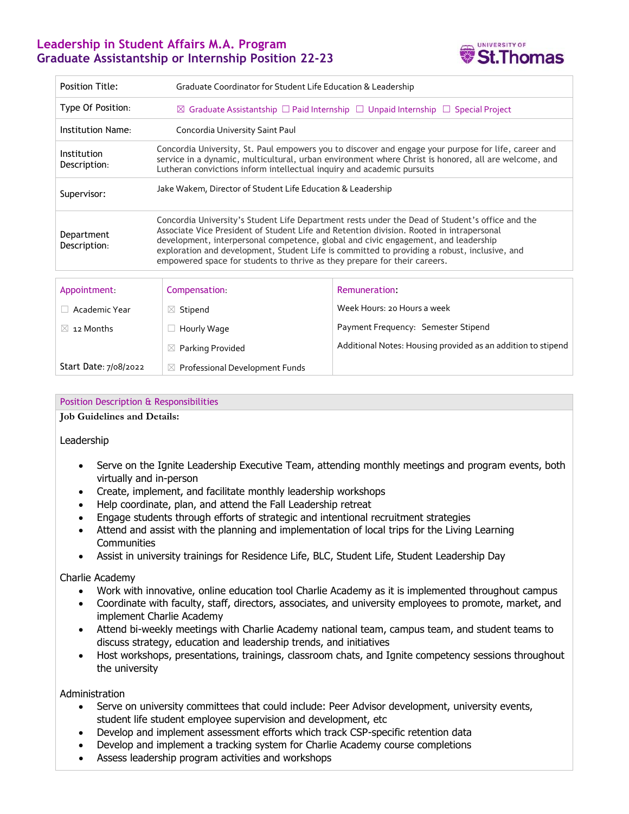## **Leadership in Student Affairs M.A. Program Graduate Assistantship or Internship Position 22-23**



| <b>Position Title:</b>      | Graduate Coordinator for Student Life Education & Leadership                                                                                                                                                                                                                                                                                                                                                                                                   |                                                              |  |
|-----------------------------|----------------------------------------------------------------------------------------------------------------------------------------------------------------------------------------------------------------------------------------------------------------------------------------------------------------------------------------------------------------------------------------------------------------------------------------------------------------|--------------------------------------------------------------|--|
| Type Of Position:           | $\boxtimes$ Graduate Assistantship $\Box$ Paid Internship $\Box$ Unpaid Internship $\Box$ Special Project                                                                                                                                                                                                                                                                                                                                                      |                                                              |  |
| Institution Name:           | Concordia University Saint Paul                                                                                                                                                                                                                                                                                                                                                                                                                                |                                                              |  |
| Institution<br>Description: | Concordia University, St. Paul empowers you to discover and engage your purpose for life, career and<br>service in a dynamic, multicultural, urban environment where Christ is honored, all are welcome, and<br>Lutheran convictions inform intellectual inquiry and academic pursuits                                                                                                                                                                         |                                                              |  |
| Supervisor:                 | Jake Wakem, Director of Student Life Education & Leadership                                                                                                                                                                                                                                                                                                                                                                                                    |                                                              |  |
| Department<br>Description:  | Concordia University's Student Life Department rests under the Dead of Student's office and the<br>Associate Vice President of Student Life and Retention division. Rooted in intrapersonal<br>development, interpersonal competence, global and civic engagement, and leadership<br>exploration and development, Student Life is committed to providing a robust, inclusive, and<br>empowered space for students to thrive as they prepare for their careers. |                                                              |  |
| Appointment                 | Compensation:                                                                                                                                                                                                                                                                                                                                                                                                                                                  | Remuneration:                                                |  |
| Academic Year<br>n.         | $\boxtimes$ Stipend                                                                                                                                                                                                                                                                                                                                                                                                                                            | Week Hours: 20 Hours a week                                  |  |
| 12 Months<br>$\times$       | Hourly Wage                                                                                                                                                                                                                                                                                                                                                                                                                                                    | Payment Frequency: Semester Stipend                          |  |
|                             | Parking Provided<br>$\bowtie$                                                                                                                                                                                                                                                                                                                                                                                                                                  | Additional Notes: Housing provided as an addition to stipend |  |
| Start Date: 7/08/2022       | $\boxtimes$ Professional Development Funds                                                                                                                                                                                                                                                                                                                                                                                                                     |                                                              |  |

## Position Description & Responsibilities

**Job Guidelines and Details:**

Leadership

- Serve on the Ignite Leadership Executive Team, attending monthly meetings and program events, both virtually and in-person
- Create, implement, and facilitate monthly leadership workshops
- Help coordinate, plan, and attend the Fall Leadership retreat
- Engage students through efforts of strategic and intentional recruitment strategies
- Attend and assist with the planning and implementation of local trips for the Living Learning **Communities**
- Assist in university trainings for Residence Life, BLC, Student Life, Student Leadership Day

## Charlie Academy

- Work with innovative, online education tool Charlie Academy as it is implemented throughout campus
- Coordinate with faculty, staff, directors, associates, and university employees to promote, market, and implement Charlie Academy
- Attend bi-weekly meetings with Charlie Academy national team, campus team, and student teams to discuss strategy, education and leadership trends, and initiatives
- Host workshops, presentations, trainings, classroom chats, and Ignite competency sessions throughout the university

Administration

- Serve on university committees that could include: Peer Advisor development, university events, student life student employee supervision and development, etc
- Develop and implement assessment efforts which track CSP-specific retention data
- Develop and implement a tracking system for Charlie Academy course completions
- Assess leadership program activities and workshops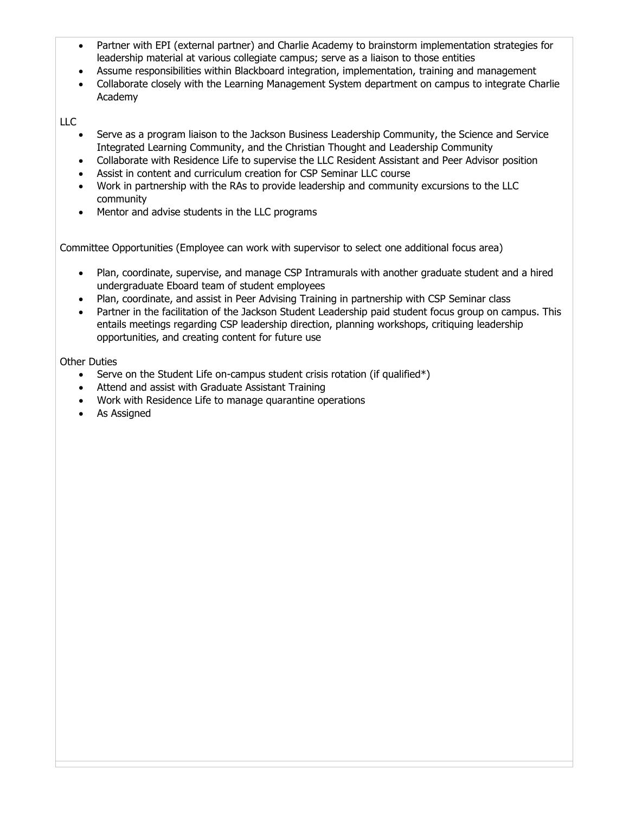- Partner with EPI (external partner) and Charlie Academy to brainstorm implementation strategies for leadership material at various collegiate campus; serve as a liaison to those entities
- Assume responsibilities within Blackboard integration, implementation, training and management
- Collaborate closely with the Learning Management System department on campus to integrate Charlie Academy

LLC

- Serve as a program liaison to the Jackson Business Leadership Community, the Science and Service Integrated Learning Community, and the Christian Thought and Leadership Community
- Collaborate with Residence Life to supervise the LLC Resident Assistant and Peer Advisor position
- Assist in content and curriculum creation for CSP Seminar LLC course
- Work in partnership with the RAs to provide leadership and community excursions to the LLC community
- Mentor and advise students in the LLC programs

Committee Opportunities (Employee can work with supervisor to select one additional focus area)

- Plan, coordinate, supervise, and manage CSP Intramurals with another graduate student and a hired undergraduate Eboard team of student employees
- Plan, coordinate, and assist in Peer Advising Training in partnership with CSP Seminar class
- Partner in the facilitation of the Jackson Student Leadership paid student focus group on campus. This entails meetings regarding CSP leadership direction, planning workshops, critiquing leadership opportunities, and creating content for future use

Other Duties

- Serve on the Student Life on-campus student crisis rotation (if qualified\*)
- Attend and assist with Graduate Assistant Training
- Work with Residence Life to manage quarantine operations
- As Assigned